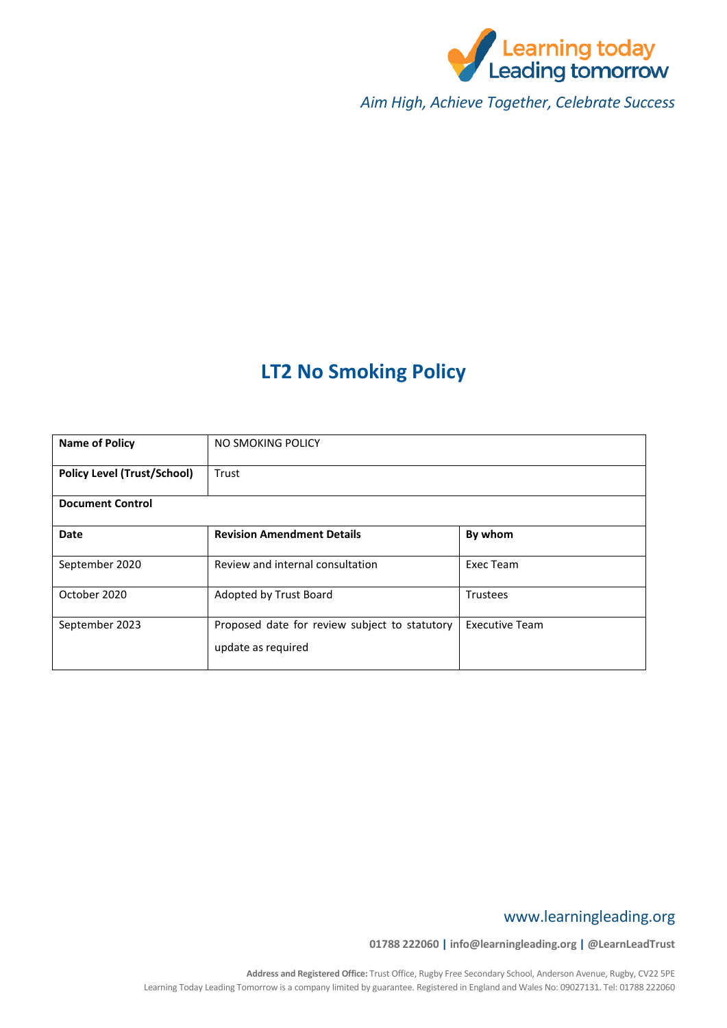

*Aim High, Achieve Together, Celebrate Success*

# **LT2 No Smoking Policy**

| <b>Name of Policy</b>              | NO SMOKING POLICY                                                   |                       |  |  |
|------------------------------------|---------------------------------------------------------------------|-----------------------|--|--|
| <b>Policy Level (Trust/School)</b> | Trust                                                               |                       |  |  |
| <b>Document Control</b>            |                                                                     |                       |  |  |
| <b>Date</b>                        | <b>Revision Amendment Details</b>                                   | By whom               |  |  |
| September 2020                     | Review and internal consultation                                    | Exec Team             |  |  |
| October 2020                       | Adopted by Trust Board                                              | <b>Trustees</b>       |  |  |
| September 2023                     | Proposed date for review subject to statutory<br>update as required | <b>Executive Team</b> |  |  |

# www.learningleading.org

**01788 222060 | info@learningleading.org | @LearnLeadTrust**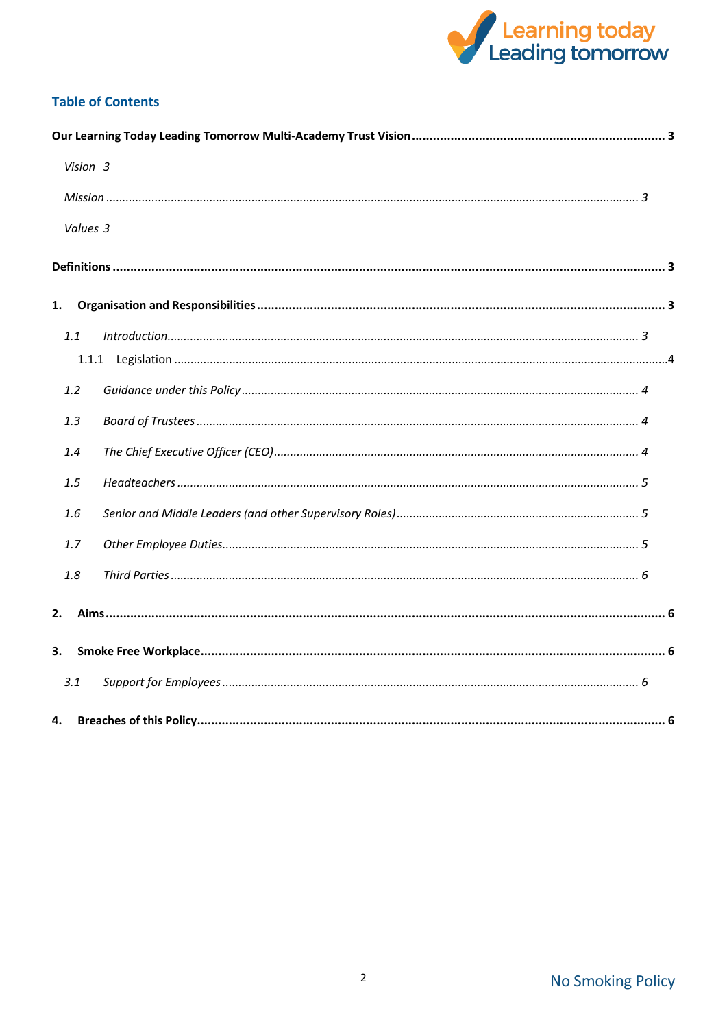

# **Table of Contents**

|    | Vision 3 |  |  |  |
|----|----------|--|--|--|
|    |          |  |  |  |
|    | Values 3 |  |  |  |
|    |          |  |  |  |
| 1. |          |  |  |  |
|    | 1.1      |  |  |  |
|    |          |  |  |  |
|    |          |  |  |  |
|    | 1.2      |  |  |  |
|    | 1.3      |  |  |  |
|    | 1.4      |  |  |  |
|    | 1.5      |  |  |  |
|    | 1.6      |  |  |  |
|    | 1.7      |  |  |  |
|    | 1.8      |  |  |  |
| 2. |          |  |  |  |
| 3. |          |  |  |  |
|    | 3.1      |  |  |  |
| 4. |          |  |  |  |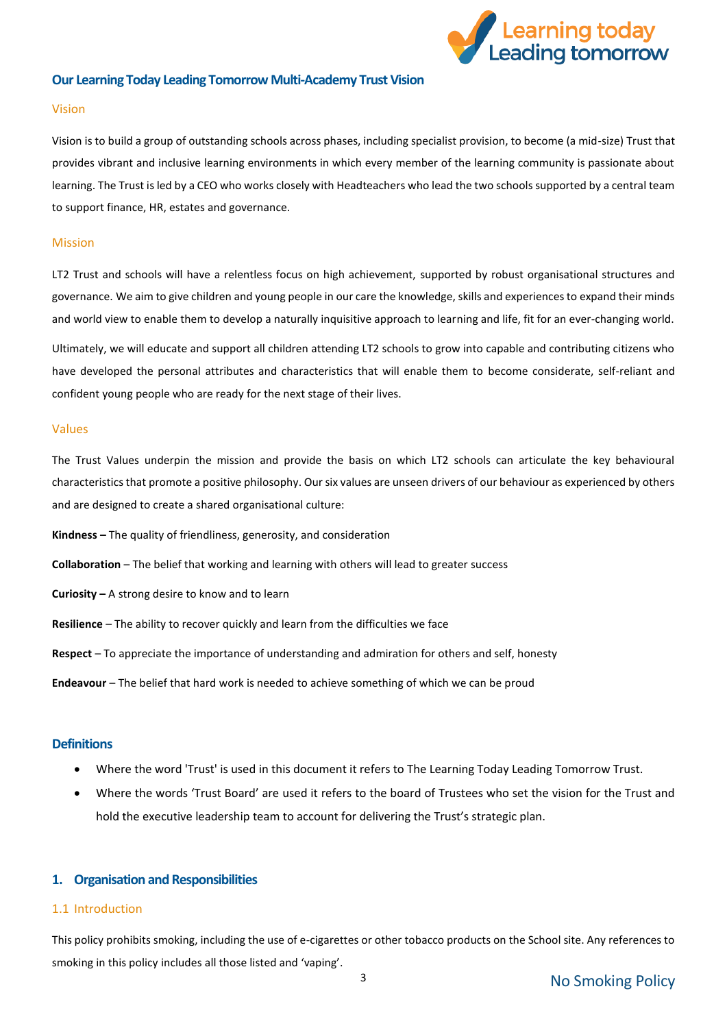

#### <span id="page-2-0"></span>**Our Learning Today Leading Tomorrow Multi-Academy Trust Vision**

#### <span id="page-2-1"></span>Vision

Vision is to build a group of outstanding schools across phases, including specialist provision, to become (a mid-size) Trust that provides vibrant and inclusive learning environments in which every member of the learning community is passionate about learning. The Trust is led by a CEO who works closely with Headteachers who lead the two schools supported by a central team to support finance, HR, estates and governance.

#### <span id="page-2-2"></span>Mission

LT2 Trust and schools will have a relentless focus on high achievement, supported by robust organisational structures and governance. We aim to give children and young people in our care the knowledge, skills and experiences to expand their minds and world view to enable them to develop a naturally inquisitive approach to learning and life, fit for an ever-changing world.

Ultimately, we will educate and support all children attending LT2 schools to grow into capable and contributing citizens who have developed the personal attributes and characteristics that will enable them to become considerate, self-reliant and confident young people who are ready for the next stage of their lives.

#### <span id="page-2-3"></span>Values

The Trust Values underpin the mission and provide the basis on which LT2 schools can articulate the key behavioural characteristics that promote a positive philosophy. Our six values are unseen drivers of our behaviour as experienced by others and are designed to create a shared organisational culture:

**Kindness –** The quality of friendliness, generosity, and consideration

**Collaboration** – The belief that working and learning with others will lead to greater success

**Curiosity –** A strong desire to know and to learn

**Resilience** – The ability to recover quickly and learn from the difficulties we face

**Respect** – To appreciate the importance of understanding and admiration for others and self, honesty

**Endeavour** – The belief that hard work is needed to achieve something of which we can be proud

#### <span id="page-2-4"></span>**Definitions**

- Where the word 'Trust' is used in this document it refers to The Learning Today Leading Tomorrow Trust.
- Where the words 'Trust Board' are used it refers to the board of Trustees who set the vision for the Trust and hold the executive leadership team to account for delivering the Trust's strategic plan.

#### <span id="page-2-5"></span>**1. Organisation and Responsibilities**

#### <span id="page-2-6"></span>1.1 Introduction

This policy prohibits smoking, including the use of e-cigarettes or other tobacco products on the School site. Any references to smoking in this policy includes all those listed and 'vaping'.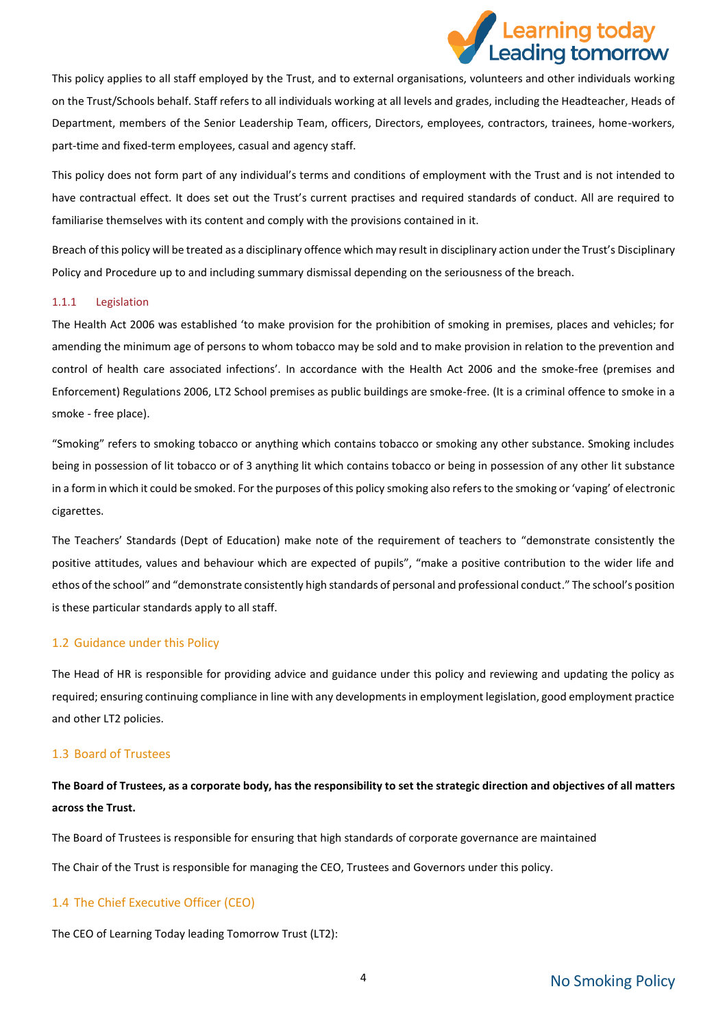

This policy applies to all staff employed by the Trust, and to external organisations, volunteers and other individuals working on the Trust/Schools behalf. Staff refers to all individuals working at all levels and grades, including the Headteacher, Heads of Department, members of the Senior Leadership Team, officers, Directors, employees, contractors, trainees, home-workers, part-time and fixed-term employees, casual and agency staff.

This policy does not form part of any individual's terms and conditions of employment with the Trust and is not intended to have contractual effect. It does set out the Trust's current practises and required standards of conduct. All are required to familiarise themselves with its content and comply with the provisions contained in it.

Breach of this policy will be treated as a disciplinary offence which may result in disciplinary action under the Trust's Disciplinary Policy and Procedure up to and including summary dismissal depending on the seriousness of the breach.

#### <span id="page-3-0"></span>1.1.1 Legislation

The Health Act 2006 was established 'to make provision for the prohibition of smoking in premises, places and vehicles; for amending the minimum age of persons to whom tobacco may be sold and to make provision in relation to the prevention and control of health care associated infections'. In accordance with the Health Act 2006 and the smoke-free (premises and Enforcement) Regulations 2006, LT2 School premises as public buildings are smoke-free. (It is a criminal offence to smoke in a smoke - free place).

"Smoking" refers to smoking tobacco or anything which contains tobacco or smoking any other substance. Smoking includes being in possession of lit tobacco or of 3 anything lit which contains tobacco or being in possession of any other lit substance in a form in which it could be smoked. For the purposes of this policy smoking also refers to the smoking or 'vaping' of electronic cigarettes.

The Teachers' Standards (Dept of Education) make note of the requirement of teachers to "demonstrate consistently the positive attitudes, values and behaviour which are expected of pupils", "make a positive contribution to the wider life and ethos of the school" and "demonstrate consistently high standards of personal and professional conduct." The school's position is these particular standards apply to all staff.

#### <span id="page-3-1"></span>1.2 Guidance under this Policy

The Head of HR is responsible for providing advice and guidance under this policy and reviewing and updating the policy as required; ensuring continuing compliance in line with any developments in employment legislation, good employment practice and other LT2 policies.

#### <span id="page-3-2"></span>1.3 Board of Trustees

## **The Board of Trustees, as a corporate body, has the responsibility to set the strategic direction and objectives of all matters across the Trust.**

The Board of Trustees is responsible for ensuring that high standards of corporate governance are maintained

The Chair of the Trust is responsible for managing the CEO, Trustees and Governors under this policy.

#### <span id="page-3-3"></span>1.4 The Chief Executive Officer (CEO)

The CEO of Learning Today leading Tomorrow Trust (LT2):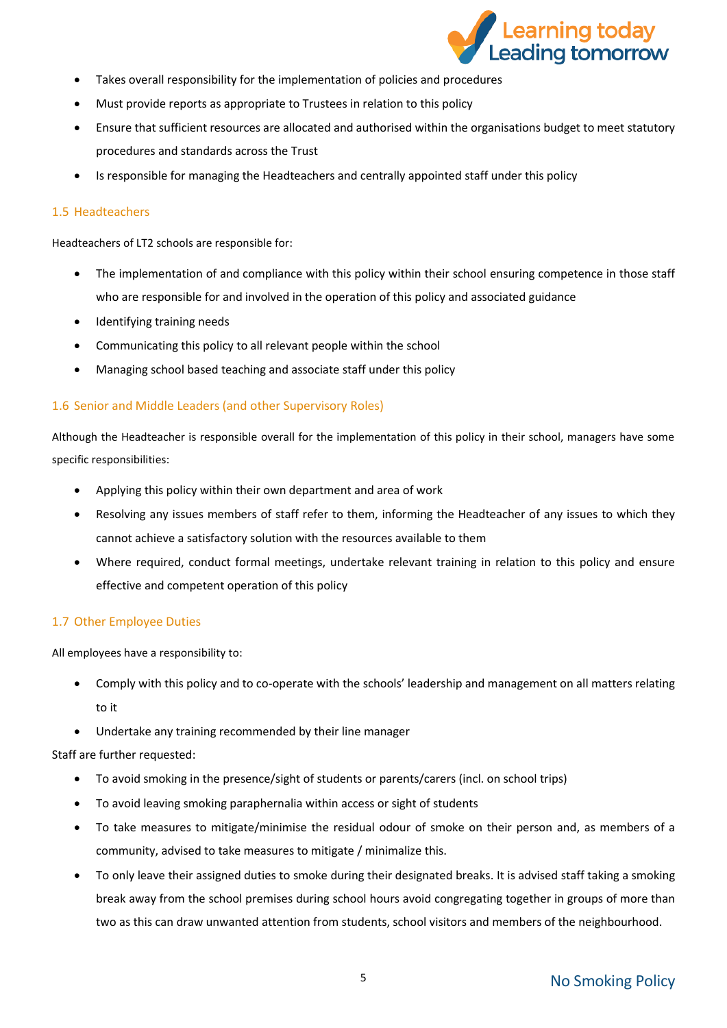

- Takes overall responsibility for the implementation of policies and procedures
- Must provide reports as appropriate to Trustees in relation to this policy
- Ensure that sufficient resources are allocated and authorised within the organisations budget to meet statutory procedures and standards across the Trust
- Is responsible for managing the Headteachers and centrally appointed staff under this policy

### <span id="page-4-0"></span>1.5 Headteachers

Headteachers of LT2 schools are responsible for:

- The implementation of and compliance with this policy within their school ensuring competence in those staff who are responsible for and involved in the operation of this policy and associated guidance
- Identifying training needs
- Communicating this policy to all relevant people within the school
- Managing school based teaching and associate staff under this policy

## <span id="page-4-1"></span>1.6 Senior and Middle Leaders (and other Supervisory Roles)

Although the Headteacher is responsible overall for the implementation of this policy in their school, managers have some specific responsibilities:

- Applying this policy within their own department and area of work
- Resolving any issues members of staff refer to them, informing the Headteacher of any issues to which they cannot achieve a satisfactory solution with the resources available to them
- Where required, conduct formal meetings, undertake relevant training in relation to this policy and ensure effective and competent operation of this policy

## <span id="page-4-2"></span>1.7 Other Employee Duties

All employees have a responsibility to:

- Comply with this policy and to co-operate with the schools' leadership and management on all matters relating to it
- Undertake any training recommended by their line manager

Staff are further requested:

- To avoid smoking in the presence/sight of students or parents/carers (incl. on school trips)
- To avoid leaving smoking paraphernalia within access or sight of students
- To take measures to mitigate/minimise the residual odour of smoke on their person and, as members of a community, advised to take measures to mitigate / minimalize this.
- To only leave their assigned duties to smoke during their designated breaks. It is advised staff taking a smoking break away from the school premises during school hours avoid congregating together in groups of more than two as this can draw unwanted attention from students, school visitors and members of the neighbourhood.